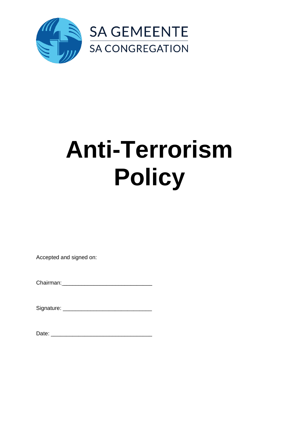

# **Anti-Terrorism Policy**

Accepted and signed on:

Chairman: \_\_\_\_\_\_\_\_\_\_\_\_\_\_\_\_\_\_\_\_\_\_\_\_\_\_\_\_\_

Signature:

Date:  $\Box$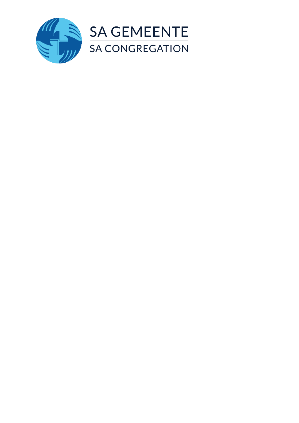

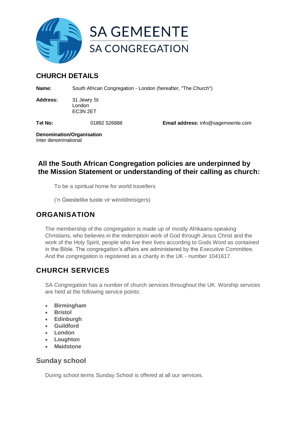

#### **CHURCH DETAILS**

**Name:** South African Congregation - London (hereafter, "The Church")

**Address:** 31 Jewry St

London EC3N 2ET

**Tel No:** 01892 526888 **Email address:** info@sagemeente.com

**Denomination/Organisation** Inter denominational

#### **All the South African Congregation policies are underpinned by the Mission Statement or understanding of their calling as church:**

To be a spiritual home for world travellers

('n Geestelike tuiste vir wêreldreisigers)

## **ORGANISATION**

The membership of the congregation is made up of mostly Afrikaans-speaking Christians, who believes in the redemption work of God through Jesus Christ and the work of the Holy Spirit, people who live their lives according to Gods Word as contained in the Bible. The congregation's affairs are administered by the Executive Committee. And the congregation is registered as a charity in the UK - number 1041617.

# **CHURCH SERVICES**

SA Congregation has a number of church services throughout the UK. Worship services are held at the following service points:

- **Birmingham**
- **Bristol**
- **Edinburgh**
- **Guildford**
- **London**
- **Loughton**
- **Maidstone**

#### **Sunday school**

During school terms Sunday School is offered at all our services.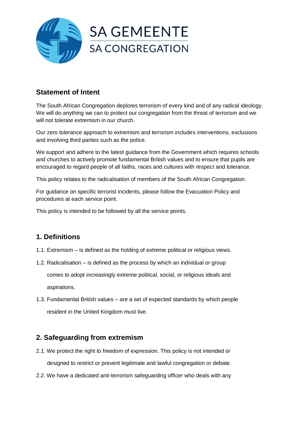

#### **Statement of Intent**

The South African Congregation deplores terrorism of every kind and of any radical ideology. We will do anything we can to protect our congregation from the threat of terrorism and we will not tolerate extremism in our church.

Our zero tolerance approach to extremism and terrorism includes interventions, exclusions and involving third parties such as the police.

We support and adhere to the latest guidance from the Government which requires schools and churches to actively promote fundamental British values and to ensure that pupils are encouraged to regard people of all faiths, races and cultures with respect and tolerance.

This policy relates to the radicalisation of members of the South African Congregation.

For guidance on specific terrorist incidents, please follow the Evacuation Policy and procedures at each service point.

This policy is intended to be followed by all the service points.

## **1. Definitions**

- 1.1. Extremism is defined as the holding of extreme political or religious views.
- 1.2. Radicalisation is defined as the process by which an individual or group

 comes to adopt increasingly extreme political, social, or religious ideals and aspirations.

1.3. Fundamental British values – are a set of expected standards by which people resident in the United Kingdom must live.

#### **2. Safeguarding from extremism**

- 2.1. We protect the right to freedom of expression. This policy is not intended or designed to restrict or prevent legitimate and lawful congregation or debate.
- 2.2. We have a dedicated anti-terrorism safeguarding officer who deals with any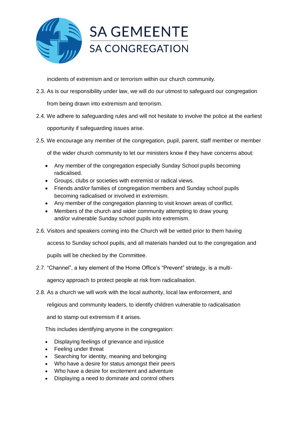

incidents of extremism and or terrorism within our church community.

- 2.3. As is our responsibility under law, we will do our utmost to safeguard our congregation from being drawn into extremism and terrorism.
- 2.4. We adhere to safeguarding rules and will not hesitate to involve the police at the earliest opportunity if safeguarding issues arise.
- 2.5. We encourage any member of the congregation, pupil, parent, staff member or member

of the wider church community to let our ministers know if they have concerns about:

- Any member of the congregation especially Sunday School pupils becoming radicalised.
- Groups, clubs or societies with extremist or radical views.
- Friends and/or families of congregation members and Sunday school pupils becoming radicalised or involved in extremism.
- Any member of the congregation planning to visit known areas of conflict.
- Members of the church and wider community attempting to draw young and/or vulnerable Sunday school pupils into extremism.
- 2.6. Visitors and speakers coming into the Church will be vetted prior to them having

access to Sunday school pupils, and all materials handed out to the congregation and

pupils will be checked by the Committee.

2.7. "Channel", a key element of the Home Office's "Prevent" strategy, is a multi-

agency approach to protect people at risk from radicalisation.

2.8. As a church we will work with the local authority, local law enforcement, and

religious and community leaders, to identify children vulnerable to radicalisation

and to stamp out extremism if it arises.

This includes identifying anyone in the congregation:

- Displaying feelings of grievance and injustice
- Feeling under threat
- Searching for identity, meaning and belonging
- Who have a desire for status amongst their peers
- Who have a desire for excitement and adventure
- Displaying a need to dominate and control others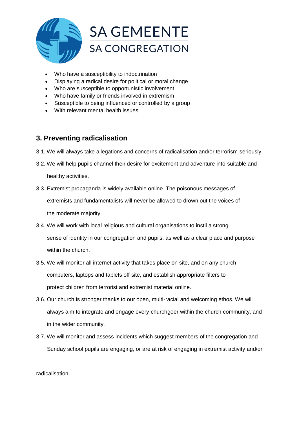

- Who have a susceptibility to indoctrination
- Displaying a radical desire for political or moral change
- Who are susceptible to opportunistic involvement
- Who have family or friends involved in extremism
- Susceptible to being influenced or controlled by a group
- With relevant mental health issues

#### **3. Preventing radicalisation**

- 3.1. We will always take allegations and concerns of radicalisation and/or terrorism seriously.
- 3.2. We will help pupils channel their desire for excitement and adventure into suitable and healthy activities.
- 3.3. Extremist propaganda is widely available online. The poisonous messages of extremists and fundamentalists will never be allowed to drown out the voices of the moderate majority.
- 3.4. We will work with local religious and cultural organisations to instil a strong sense of identity in our congregation and pupils, as well as a clear place and purpose within the church.
- 3.5. We will monitor all internet activity that takes place on site, and on any church computers, laptops and tablets off site, and establish appropriate filters to protect children from terrorist and extremist material online.
- 3.6. Our church is stronger thanks to our open, multi-racial and welcoming ethos. We will always aim to integrate and engage every churchgoer within the church community, and in the wider community.
- 3.7. We will monitor and assess incidents which suggest members of the congregation and Sunday school pupils are engaging, or are at risk of engaging in extremist activity and/or

radicalisation.